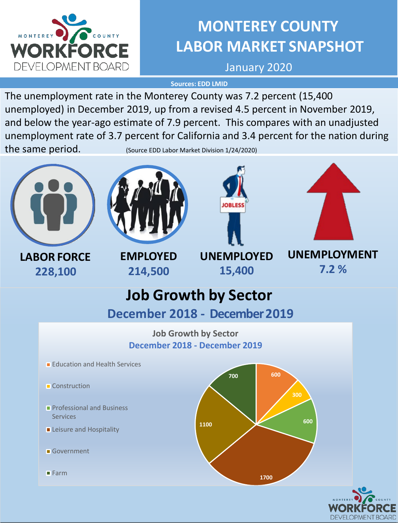

# **MONTEREY COUNTY LABOR MARKET SNAPSHOT**

January 2020

**Sources: EDD LMID**

The unemployment rate in the Monterey County was 7.2 percent (15,400 unemployed) in December 2019, up from a revised 4.5 percent in November 2019, and below the year-ago estimate of 7.9 percent. This compares with an unadjusted unemployment rate of 3.7 percent for California and 3.4 percent for the nation during the same period. (Source EDD Labor Market Division 1/24/2020)







**LABOR FORCE 228,100**

**EMPLOYED 214,500**

**UNEMPLOYED 15,400**



# **Job Growth by Sector**

**December 2018 - December 2019**

## **Job Growth by Sector December 2018 - December 2019**

- **Education and Health Services**
- **Construction**
- **Professional and Business** Services
- **Leisure and Hospitality**
- Government

**Farm** 



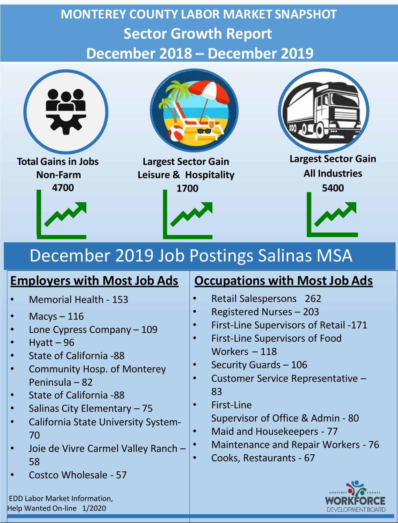# **MONTEREY COUNTY LABOR MARKET SNAPSHOT Sector Growth Report December 2018 – December 2019**



# December 2019 Job Postings Salinas MSA

- Memorial Health 153
- $Macys 116$
- Lone Cypress Company 109
- $H$ vatt 96
- State of California -88
- Community Hosp. of Monterey Peninsula – 82
- State of California -88
- Salinas City Elementary 75
- California State University System-70
- Joie de Vivre Carmel Valley Ranch 58
- Costco Wholesale 57

EDD Labor Market Information, Help Wanted On-line 1/2020

## **Employers with Most Job Ads** | Occupations with Most Job Ads

- Retail Salespersons 262
- Registered Nurses 203
- First-Line Supervisors of Retail -171
- First-Line Supervisors of Food Workers – 118
- Security Guards 106
- Customer Service Representative 83
- First-Line Supervisor of Office & Admin - 80
- Maid and Housekeepers 77
- Maintenance and Repair Workers 76
- Cooks, Restaurants 67